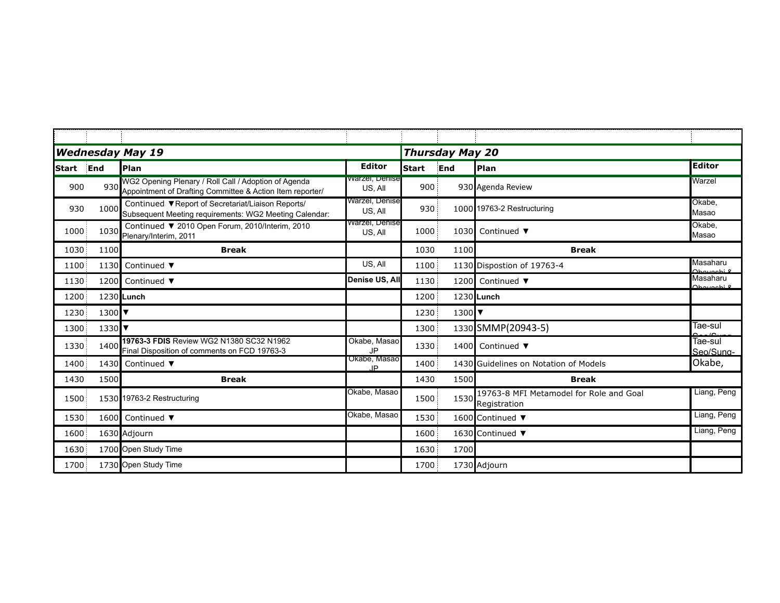| <b>Wednesday May 19</b> |      |                                                                                                                   |                            | <b>Thursday May 20</b> |      |                                                         |                        |  |
|-------------------------|------|-------------------------------------------------------------------------------------------------------------------|----------------------------|------------------------|------|---------------------------------------------------------|------------------------|--|
| <b>Start</b>            | End  | Plan                                                                                                              | <b>Editor</b>              | <b>Start</b>           | End  | Plan                                                    | <b>Editor</b>          |  |
| 900                     | 930  | WG2 Opening Plenary / Roll Call / Adoption of Agenda<br>Appointment of Drafting Committee & Action Item reporter/ | warzer, Denise<br>US, All  | 900                    |      | 930 Agenda Review                                       | Warzel                 |  |
| 930                     | 1000 | Continued ▼Report of Secretariat/Liaison Reports/<br>Subsequent Meeting requirements: WG2 Meeting Calendar:       | Warzel, Denise<br>US, All  | 930                    |      | 1000 19763-2 Restructuring                              | Okabe.<br>Masao        |  |
| 1000                    | 1030 | Continued ▼ 2010 Open Forum, 2010/Interim, 2010<br>Plenary/Interim, 2011                                          | vvarzei, Denise<br>US, All | 1000                   | 1030 | Continued $\blacktriangledown$                          | Okabe.<br>Masao        |  |
| 1030                    | 1100 | <b>Break</b>                                                                                                      |                            | 1030                   | 1100 | <b>Break</b>                                            |                        |  |
| 1100                    | 1130 | Continued ▼                                                                                                       | US, All                    | 1100                   |      | 1130 Dispostion of 19763-4                              | Masaharu               |  |
| 1130                    | 1200 | Continued ▼                                                                                                       | Denise US, All             | 1130                   | 1200 | Continued $\blacktriangledown$                          | Masaharu<br>Ohovoobi l |  |
| 1200                    |      | 1230 Lunch                                                                                                        |                            | 1200                   |      | 1230 Lunch                                              |                        |  |
| 1230                    | 1300 |                                                                                                                   |                            | 1230                   | 1300 |                                                         |                        |  |
| 1300                    | 1330 |                                                                                                                   |                            | 1300                   |      | 1330 SMMP(20943-5)                                      | Tae-sul                |  |
| 1330                    | 1400 | 19763-3 FDIS Review WG2 N1380 SC32 N1962<br>Final Disposition of comments on FCD 19763-3                          | Okabe, Masao<br><b>JP</b>  | 1330                   | 1400 | Continued $\blacktriangledown$                          | Tae-sul<br>Seo/Sung-   |  |
| 1400                    | 1430 | Continued ▼                                                                                                       | Okabe, Masao<br>ID         | 1400                   |      | 1430 Guidelines on Notation of Models                   | Okabe,                 |  |
| 1430                    | 1500 | <b>Break</b>                                                                                                      |                            | 1430                   | 1500 | <b>Break</b>                                            |                        |  |
| 1500                    |      | 1530 19763-2 Restructuring                                                                                        | Okabe, Masao               | 1500                   | 1530 | 19763-8 MFI Metamodel for Role and Goal<br>Registration | Liang, Peng            |  |
| 1530                    | 1600 | Continued ▼                                                                                                       | Okabe, Masao               | 1530                   |      | 1600 Continued ▼                                        | Liang, Peng            |  |
| 1600                    |      | 1630 Adjourn                                                                                                      |                            | 1600                   |      | 1630 Continued ▼                                        | Liang, Peng            |  |
| 1630                    |      | 1700 Open Study Time                                                                                              |                            | 1630                   | 1700 |                                                         |                        |  |
| 1700                    |      | 1730 Open Study Time                                                                                              |                            | 1700                   |      | 1730 Adjourn                                            |                        |  |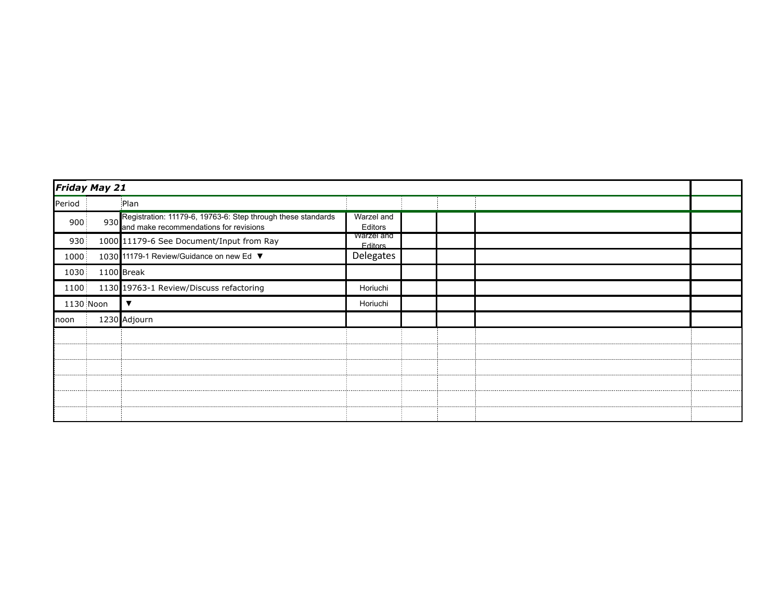|           | Friday May 21 |                                                                                                            |                               |  |  |  |  |
|-----------|---------------|------------------------------------------------------------------------------------------------------------|-------------------------------|--|--|--|--|
| Period    |               | Plan                                                                                                       |                               |  |  |  |  |
| 900       |               | 930 Registration: 11179-6, 19763-6: Step through these standards<br>and make recommendations for revisions | Warzel and<br>Editors         |  |  |  |  |
| 930       |               | 1000 11179-6 See Document/Input from Ray                                                                   | warzel and<br><b>F</b> ditors |  |  |  |  |
| 1000      |               | 1030 11179-1 Review/Guidance on new Ed ▼                                                                   | Delegates                     |  |  |  |  |
| 1030      |               | 1100 Break                                                                                                 |                               |  |  |  |  |
| 1100      |               | 1130 19763-1 Review/Discuss refactoring                                                                    | Horiuchi                      |  |  |  |  |
| 1130 Noon |               |                                                                                                            | Horiuchi                      |  |  |  |  |
| Inoon     |               | 1230 Adjourn                                                                                               |                               |  |  |  |  |
|           |               |                                                                                                            |                               |  |  |  |  |
|           |               |                                                                                                            |                               |  |  |  |  |
|           |               |                                                                                                            |                               |  |  |  |  |
|           |               |                                                                                                            |                               |  |  |  |  |
|           |               |                                                                                                            |                               |  |  |  |  |
|           |               |                                                                                                            |                               |  |  |  |  |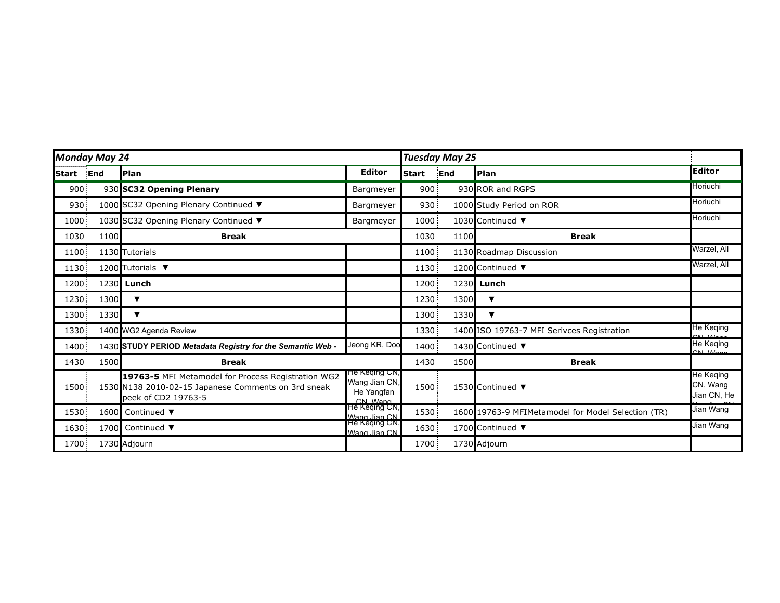| Monday May 24 |      |                                                                                                                                  |                                                          | <b>Tuesday May 25</b> |      |                                                    |                                             |
|---------------|------|----------------------------------------------------------------------------------------------------------------------------------|----------------------------------------------------------|-----------------------|------|----------------------------------------------------|---------------------------------------------|
| <b>Start</b>  | End  | Plan                                                                                                                             | <b>Editor</b>                                            | <b>Start</b>          | End  | Plan                                               | <b>Editor</b>                               |
| 900           |      | 930 SC32 Opening Plenary                                                                                                         | Bargmeyer                                                | 900                   |      | 930 ROR and RGPS                                   | Horiuchi                                    |
| 930           |      | 1000 SC32 Opening Plenary Continued ▼                                                                                            | Bargmeyer                                                | 930                   |      | 1000 Study Period on ROR                           | Horiuchi                                    |
| 1000          |      | 1030 SC32 Opening Plenary Continued ▼                                                                                            | Bargmeyer                                                | 1000                  |      | 1030 Continued ▼                                   | Horiuchi                                    |
| 1030          | 1100 | <b>Break</b>                                                                                                                     |                                                          | 1030                  | 1100 | <b>Break</b>                                       |                                             |
| 1100          |      | 1130 Tutorials                                                                                                                   |                                                          | 1100                  |      | 1130 Roadmap Discussion                            | Warzel, All                                 |
| 1130          |      | 1200 Tutorials ▼                                                                                                                 |                                                          | 1130                  |      | 1200 Continued ▼                                   | Warzel, All                                 |
| 1200          | 1230 | Lunch                                                                                                                            |                                                          | 1200                  | 1230 | Lunch                                              |                                             |
| 1230          | 1300 | ▼                                                                                                                                |                                                          | 1230                  | 1300 | ▼                                                  |                                             |
| 1300          | 1330 | $\blacktriangledown$                                                                                                             |                                                          | 1300                  | 1330 | $\blacktriangledown$                               |                                             |
| 1330          |      | 1400 WG2 Agenda Review                                                                                                           |                                                          | 1330                  |      | 1400 ISO 19763-7 MFI Serivces Registration         | He Keqing<br>CMMone                         |
| 1400          |      | 1430 STUDY PERIOD Metadata Registry for the Semantic Web -                                                                       | Jeong KR, Doo                                            | 1400                  |      | 1430 Continued ▼                                   | He Keqing<br>CLLML                          |
| 1430          | 1500 | <b>Break</b>                                                                                                                     |                                                          | 1430                  | 1500 | <b>Break</b>                                       |                                             |
| 1500          |      | 19763-5 MFI Metamodel for Process Registration WG2<br>1530 N138 2010-02-15 Japanese Comments on 3rd sneak<br>peek of CD2 19763-5 | He Keqing Civ,<br>Wang Jian CN,<br>He Yangfan<br>CN Wang | 1500                  |      | 1530 Continued ▼                                   | <b>He Keqing</b><br>CN, Wang<br>Jian CN, He |
| 1530          | 1600 | Continued $\blacktriangledown$                                                                                                   | He Keqing CN,<br>Wang Jian CN                            | 1530                  |      | 1600 19763-9 MFIMetamodel for Model Selection (TR) | Jian Wang                                   |
| 1630          | 1700 | Continued ▼                                                                                                                      | He Keqing CN,<br>Wang Jian CN                            | 1630                  |      | 1700 Continued ▼                                   | Jian Wang                                   |
| 1700          |      | 1730 Adjourn                                                                                                                     |                                                          | 1700                  |      | 1730 Adjourn                                       |                                             |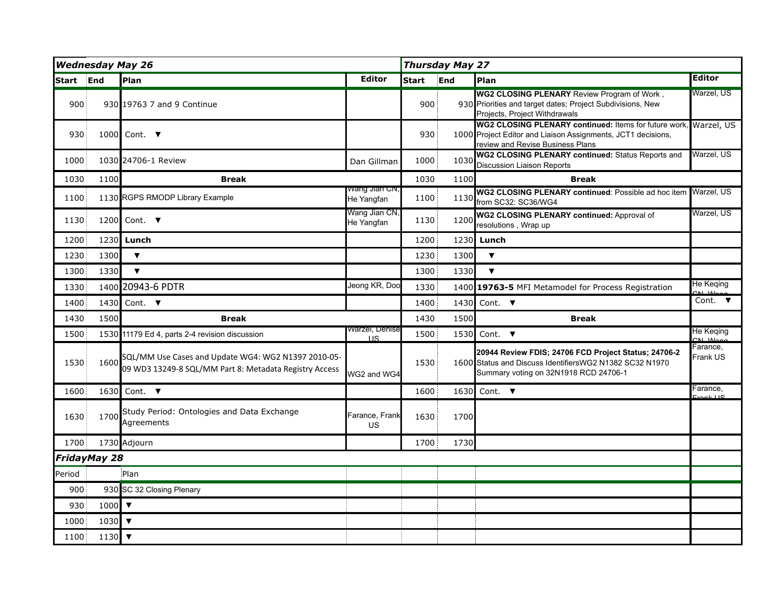| <b>Wednesday May 26</b> |      |                                                                                                               |                               | <b>Thursday May 27</b> |      |                                                                                                                                                                      |                            |
|-------------------------|------|---------------------------------------------------------------------------------------------------------------|-------------------------------|------------------------|------|----------------------------------------------------------------------------------------------------------------------------------------------------------------------|----------------------------|
| <b>Start</b>            | End  | Plan                                                                                                          | <b>Editor</b>                 | <b>Start</b>           | End  | Plan                                                                                                                                                                 | <b>Editor</b>              |
| 900                     |      | 930 19763 7 and 9 Continue                                                                                    |                               | 900                    |      | <b>WG2 CLOSING PLENARY Review Program of Work,</b><br>930 Priorities and target dates; Project Subdivisions, New<br>Projects, Project Withdrawals                    | Warzel, US                 |
| 930                     | 1000 | Cont. $\blacktriangledown$                                                                                    |                               | 930                    |      | WG2 CLOSING PLENARY continued: Items for future work, Warzel, US<br>1000 Project Editor and Liaison Assignments, JCT1 decisions,<br>review and Revise Business Plans |                            |
| 1000                    |      | 1030 24706-1 Review                                                                                           | Dan Gillman                   | 1000                   | 1030 | WG2 CLOSING PLENARY continued: Status Reports and<br><b>Discussion Liaison Reports</b>                                                                               | Warzel, US                 |
| 1030                    | 1100 | <b>Break</b>                                                                                                  |                               | 1030                   | 1100 | <b>Break</b>                                                                                                                                                         |                            |
| 1100                    |      | 1130 RGPS RMODP Library Example                                                                               | vvang Jian Civ,<br>He Yangfan | 1100                   | 1130 | WG2 CLOSING PLENARY continued: Possible ad hoc item Warzel, US<br>from SC32: SC36/WG4                                                                                |                            |
| 1130                    | 1200 | Cont. $\blacktriangledown$                                                                                    | Wang Jian CN,<br>He Yangfan   | 1130                   | 1200 | WG2 CLOSING PLENARY continued: Approval of<br>resolutions, Wrap up                                                                                                   | Warzel, US                 |
| 1200                    | 1230 | Lunch                                                                                                         |                               | 1200                   | 1230 | Lunch                                                                                                                                                                |                            |
| 1230                    | 1300 | $\blacktriangledown$                                                                                          |                               | 1230                   | 1300 | $\blacktriangledown$                                                                                                                                                 |                            |
| 1300                    | 1330 | $\overline{\mathbf{v}}$                                                                                       |                               | 1300                   | 1330 | $\overline{\mathbf{v}}$                                                                                                                                              |                            |
| 1330                    | 1400 | 20943-6 PDTR                                                                                                  | Jeong KR, Doo                 | 1330                   |      | 1400 19763-5 MFI Metamodel for Process Registration                                                                                                                  | He Keging                  |
| 1400                    | 1430 | Cont. $\blacktriangledown$                                                                                    |                               | 1400                   | 1430 | Cont. $\blacktriangledown$                                                                                                                                           | Cont. $\blacktriangledown$ |
| 1430                    | 1500 | <b>Break</b>                                                                                                  |                               | 1430                   | 1500 | <b>Break</b>                                                                                                                                                         |                            |
| 1500                    |      | 1530 11179 Ed 4, parts 2-4 revision discussion                                                                | warzel, Denise<br>11S         | 1500                   | 1530 | Cont. $\blacktriangledown$                                                                                                                                           | He Keging                  |
| 1530                    | 1600 | SQL/MM Use Cases and Update WG4: WG2 N1397 2010-05-<br>09 WD3 13249-8 SQL/MM Part 8: Metadata Registry Access | WG2 and WG4                   | 1530                   |      | 20944 Review FDIS; 24706 FCD Project Status; 24706-2<br>1600 Status and Discuss IdentifiersWG2 N1382 SC32 N1970<br>Summary voting on 32N1918 RCD 24706-1             | Farance,<br>Frank US       |
| 1600                    | 1630 | Cont. $\blacktriangledown$                                                                                    |                               | 1600                   | 1630 | Cont. $\blacktriangledown$                                                                                                                                           | Farance,                   |
| 1630                    | 1700 | Study Period: Ontologies and Data Exchange<br>Agreements                                                      | Farance, Frank<br>US          | 1630                   | 1700 |                                                                                                                                                                      |                            |
| 1700                    |      | 1730 Adjourn                                                                                                  |                               | 1700                   | 1730 |                                                                                                                                                                      |                            |
| FridayMay 28            |      |                                                                                                               |                               |                        |      |                                                                                                                                                                      |                            |
| Period                  |      | Plan                                                                                                          |                               |                        |      |                                                                                                                                                                      |                            |
| 900                     |      | 930 SC 32 Closing Plenary                                                                                     |                               |                        |      |                                                                                                                                                                      |                            |
| 930                     | 1000 | $\overline{\mathbf{v}}$                                                                                       |                               |                        |      |                                                                                                                                                                      |                            |
| 1000                    | 1030 | $\overline{\mathbf{v}}$                                                                                       |                               |                        |      |                                                                                                                                                                      |                            |
| 1100                    | 1130 | $\overline{\mathbf{v}}$                                                                                       |                               |                        |      |                                                                                                                                                                      |                            |